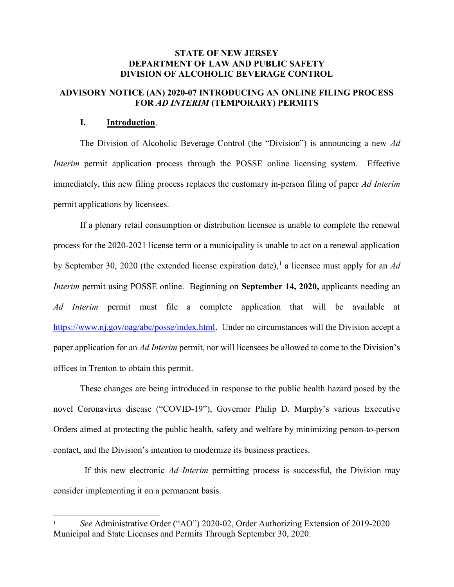## STATE OF NEW JERSEY DEPARTMENT OF LAW AND PUBLIC SAFETY DIVISION OF ALCOHOLIC BEVERAGE CONTROL

## ADVISORY NOTICE (AN) 2020-07 INTRODUCING AN ONLINE FILING PROCESS FOR AD INTERIM (TEMPORARY) PERMITS

#### I. Introduction.

l

The Division of Alcoholic Beverage Control (the "Division") is announcing a new Ad Interim permit application process through the POSSE online licensing system. Effective immediately, this new filing process replaces the customary in-person filing of paper Ad Interim permit applications by licensees.

If a plenary retail consumption or distribution licensee is unable to complete the renewal process for the 2020-2021 license term or a municipality is unable to act on a renewal application by September 30, 2020 (the extended license expiration date),<sup>1</sup> a licensee must apply for an Ad Interim permit using POSSE online. Beginning on September 14, 2020, applicants needing an Ad Interim permit must file a complete application that will be available at https://www.nj.gov/oag/abc/posse/index.html. Under no circumstances will the Division accept a paper application for an Ad Interim permit, nor will licensees be allowed to come to the Division's offices in Trenton to obtain this permit.

These changes are being introduced in response to the public health hazard posed by the novel Coronavirus disease ("COVID-19"), Governor Philip D. Murphy's various Executive Orders aimed at protecting the public health, safety and welfare by minimizing person-to-person contact, and the Division's intention to modernize its business practices.

 If this new electronic Ad Interim permitting process is successful, the Division may consider implementing it on a permanent basis.

<sup>1</sup> See Administrative Order ("AO") 2020-02, Order Authorizing Extension of 2019-2020 Municipal and State Licenses and Permits Through September 30, 2020.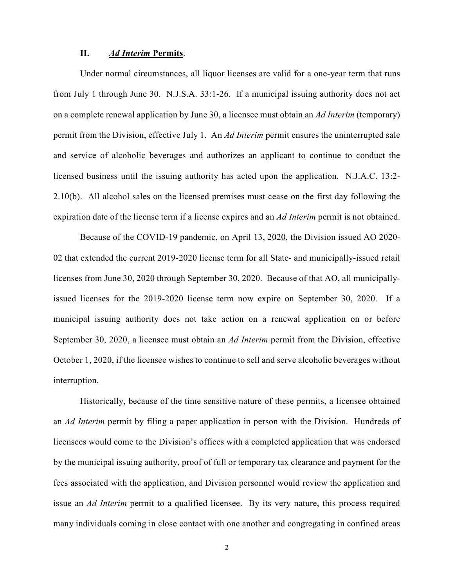#### II. Ad Interim Permits.

Under normal circumstances, all liquor licenses are valid for a one-year term that runs from July 1 through June 30. N.J.S.A. 33:1-26. If a municipal issuing authority does not act on a complete renewal application by June 30, a licensee must obtain an Ad Interim (temporary) permit from the Division, effective July 1. An Ad Interim permit ensures the uninterrupted sale and service of alcoholic beverages and authorizes an applicant to continue to conduct the licensed business until the issuing authority has acted upon the application. N.J.A.C. 13:2- 2.10(b). All alcohol sales on the licensed premises must cease on the first day following the expiration date of the license term if a license expires and an Ad Interim permit is not obtained.

Because of the COVID-19 pandemic, on April 13, 2020, the Division issued AO 2020- 02 that extended the current 2019-2020 license term for all State- and municipally-issued retail licenses from June 30, 2020 through September 30, 2020. Because of that AO, all municipallyissued licenses for the 2019-2020 license term now expire on September 30, 2020. If a municipal issuing authority does not take action on a renewal application on or before September 30, 2020, a licensee must obtain an Ad Interim permit from the Division, effective October 1, 2020, if the licensee wishes to continue to sell and serve alcoholic beverages without interruption.

Historically, because of the time sensitive nature of these permits, a licensee obtained an Ad Interim permit by filing a paper application in person with the Division. Hundreds of licensees would come to the Division's offices with a completed application that was endorsed by the municipal issuing authority, proof of full or temporary tax clearance and payment for the fees associated with the application, and Division personnel would review the application and issue an Ad Interim permit to a qualified licensee. By its very nature, this process required many individuals coming in close contact with one another and congregating in confined areas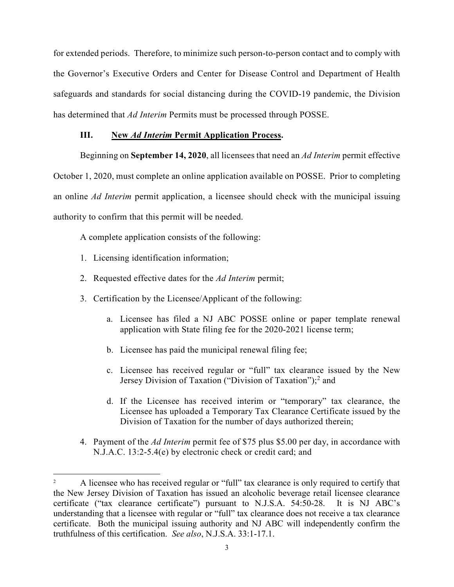for extended periods. Therefore, to minimize such person-to-person contact and to comply with the Governor's Executive Orders and Center for Disease Control and Department of Health safeguards and standards for social distancing during the COVID-19 pandemic, the Division has determined that Ad Interim Permits must be processed through POSSE.

## III. New Ad Interim Permit Application Process.

Beginning on September 14, 2020, all licensees that need an Ad Interim permit effective October 1, 2020, must complete an online application available on POSSE. Prior to completing an online Ad Interim permit application, a licensee should check with the municipal issuing authority to confirm that this permit will be needed.

A complete application consists of the following:

1. Licensing identification information;

l

- 2. Requested effective dates for the Ad Interim permit;
- 3. Certification by the Licensee/Applicant of the following:
	- a. Licensee has filed a NJ ABC POSSE online or paper template renewal application with State filing fee for the 2020-2021 license term;
	- b. Licensee has paid the municipal renewal filing fee;
	- c. Licensee has received regular or "full" tax clearance issued by the New Jersey Division of Taxation ("Division of Taxation");<sup>2</sup> and
	- d. If the Licensee has received interim or "temporary" tax clearance, the Licensee has uploaded a Temporary Tax Clearance Certificate issued by the Division of Taxation for the number of days authorized therein;
- 4. Payment of the Ad Interim permit fee of \$75 plus \$5.00 per day, in accordance with N.J.A.C. 13:2-5.4(e) by electronic check or credit card; and

<sup>2</sup>A licensee who has received regular or "full" tax clearance is only required to certify that the New Jersey Division of Taxation has issued an alcoholic beverage retail licensee clearance certificate ("tax clearance certificate") pursuant to N.J.S.A. 54:50-28. It is NJ ABC's understanding that a licensee with regular or "full" tax clearance does not receive a tax clearance certificate. Both the municipal issuing authority and NJ ABC will independently confirm the truthfulness of this certification. See also, N.J.S.A. 33:1-17.1.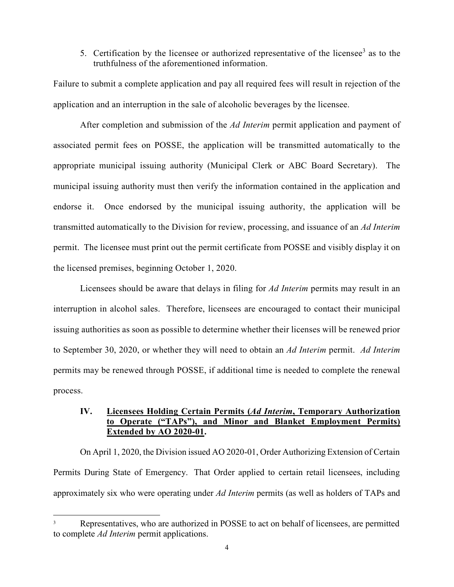## 5. Certification by the licensee or authorized representative of the licensee<sup>3</sup> as to the truthfulness of the aforementioned information.

Failure to submit a complete application and pay all required fees will result in rejection of the application and an interruption in the sale of alcoholic beverages by the licensee.

After completion and submission of the Ad Interim permit application and payment of associated permit fees on POSSE, the application will be transmitted automatically to the appropriate municipal issuing authority (Municipal Clerk or ABC Board Secretary). The municipal issuing authority must then verify the information contained in the application and endorse it. Once endorsed by the municipal issuing authority, the application will be transmitted automatically to the Division for review, processing, and issuance of an Ad Interim permit. The licensee must print out the permit certificate from POSSE and visibly display it on the licensed premises, beginning October 1, 2020.

Licensees should be aware that delays in filing for Ad Interim permits may result in an interruption in alcohol sales. Therefore, licensees are encouraged to contact their municipal issuing authorities as soon as possible to determine whether their licenses will be renewed prior to September 30, 2020, or whether they will need to obtain an Ad Interim permit. Ad Interim permits may be renewed through POSSE, if additional time is needed to complete the renewal process.

# IV. Licensees Holding Certain Permits (Ad Interim, Temporary Authorization to Operate ("TAPs"), and Minor and Blanket Employment Permits) Extended by AO 2020-01.

On April 1, 2020, the Division issued AO 2020-01, Order Authorizing Extension of Certain Permits During State of Emergency. That Order applied to certain retail licensees, including approximately six who were operating under Ad Interim permits (as well as holders of TAPs and

l

<sup>3</sup> Representatives, who are authorized in POSSE to act on behalf of licensees, are permitted to complete Ad Interim permit applications.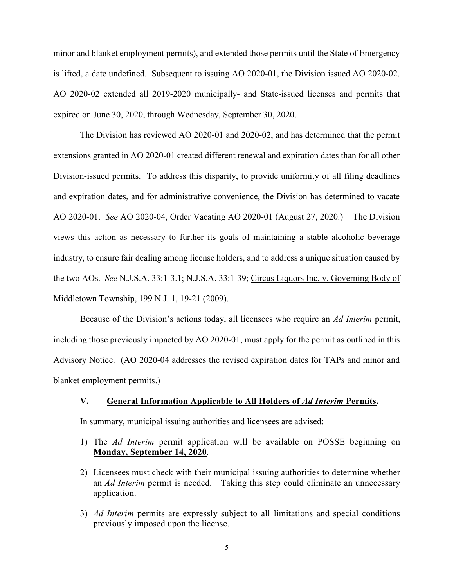minor and blanket employment permits), and extended those permits until the State of Emergency is lifted, a date undefined. Subsequent to issuing AO 2020-01, the Division issued AO 2020-02. AO 2020-02 extended all 2019-2020 municipally- and State-issued licenses and permits that expired on June 30, 2020, through Wednesday, September 30, 2020.

The Division has reviewed AO 2020-01 and 2020-02, and has determined that the permit extensions granted in AO 2020-01 created different renewal and expiration dates than for all other Division-issued permits. To address this disparity, to provide uniformity of all filing deadlines and expiration dates, and for administrative convenience, the Division has determined to vacate AO 2020-01. See AO 2020-04, Order Vacating AO 2020-01 (August 27, 2020.) The Division views this action as necessary to further its goals of maintaining a stable alcoholic beverage industry, to ensure fair dealing among license holders, and to address a unique situation caused by the two AOs. See N.J.S.A. 33:1-3.1; N.J.S.A. 33:1-39; Circus Liquors Inc. v. Governing Body of Middletown Township, 199 N.J. 1, 19-21 (2009).

Because of the Division's actions today, all licensees who require an Ad Interim permit, including those previously impacted by AO 2020-01, must apply for the permit as outlined in this Advisory Notice. (AO 2020-04 addresses the revised expiration dates for TAPs and minor and blanket employment permits.)

#### V. General Information Applicable to All Holders of Ad Interim Permits.

In summary, municipal issuing authorities and licensees are advised:

- 1) The Ad Interim permit application will be available on POSSE beginning on Monday, September 14, 2020.
- 2) Licensees must check with their municipal issuing authorities to determine whether an Ad Interim permit is needed. Taking this step could eliminate an unnecessary application.
- 3) Ad Interim permits are expressly subject to all limitations and special conditions previously imposed upon the license.